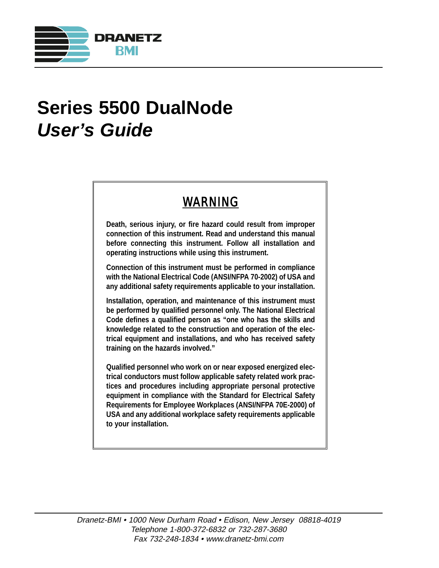

# **Series 5500 DualNode User's Guide**

# WARNING

**Death, serious injury, or fire hazard could result from improper connection of this instrument. Read and understand this manual before connecting this instrument. Follow all installation and operating instructions while using this instrument.**

**Connection of this instrument must be performed in compliance with the National Electrical Code (ANSI/NFPA 70-2002) of USA and any additional safety requirements applicable to your installation.**

**Installation, operation, and maintenance of this instrument must be performed by qualified personnel only. The National Electrical Code defines a qualified person as "one who has the skills and knowledge related to the construction and operation of the electrical equipment and installations, and who has received safety training on the hazards involved."**

**Qualified personnel who work on or near exposed energized electrical conductors must follow applicable safety related work practices and procedures including appropriate personal protective equipment in compliance with the Standard for Electrical Safety Requirements for Employee Workplaces (ANSI/NFPA 70E-2000) of USA and any additional workplace safety requirements applicable to your installation.**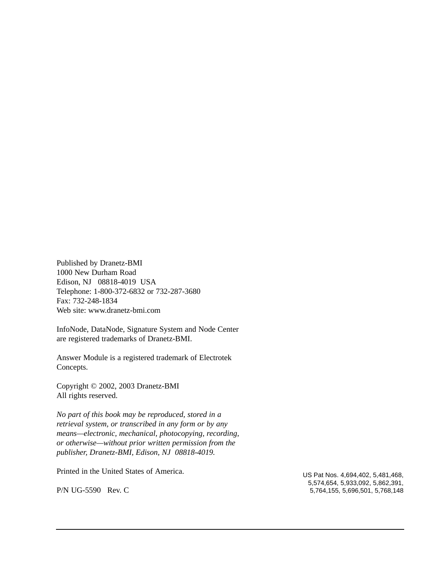Published by Dranetz-BMI 1000 New Durham Road Edison, NJ 08818-4019 USA Telephone: 1-800-372-6832 or 732-287-3680 Fax: 732-248-1834 Web site: www.dranetz-bmi.com

InfoNode, DataNode, Signature System and Node Center are registered trademarks of Dranetz-BMI.

Answer Module is a registered trademark of Electrotek Concepts.

Copyright © 2002, 2003 Dranetz-BMI All rights reserved.

*No part of this book may be reproduced, stored in a retrieval system, or transcribed in any form or by any means—electronic, mechanical, photocopying, recording, or otherwise—without prior written permission from the publisher, Dranetz-BMI, Edison, NJ 08818-4019.*

Printed in the United States of America.

P/N UG-5590 Rev. C

US Pat Nos. 4,694,402, 5,481,468, 5,574,654, 5,933,092, 5,862,391, 5,764,155, 5,696,501, 5,768,148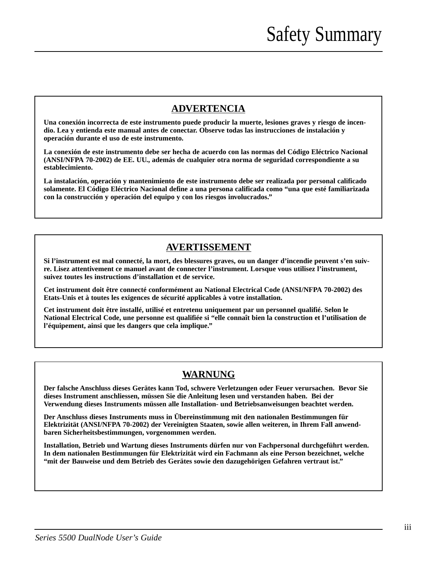## **ADVERTENCIA**

**Una conexión incorrecta de este instrumento puede producir la muerte, lesiones graves y riesgo de incendio. Lea y entienda este manual antes de conectar. Observe todas las instrucciones de instalación y operación durante el uso de este instrumento.**

**La conexión de este instrumento debe ser hecha de acuerdo con las normas del Código Eléctrico Nacional (ANSI/NFPA 70-2002) de EE. UU., además de cualquier otra norma de seguridad correspondiente a su establecimiento.**

**La instalación, operación y mantenimiento de este instrumento debe ser realizada por personal calificado solamente. El Código Eléctrico Nacional define a una persona calificada como "una que esté familiarizada con la construcción y operación del equipo y con los riesgos involucrados."**

# **AVERTISSEMENT**

**Si l'instrument est mal connecté, la mort, des blessures graves, ou un danger d'incendie peuvent s'en suivre. Lisez attentivement ce manuel avant de connecter l'instrument. Lorsque vous utilisez l'instrument, suivez toutes les instructions d'installation et de service.**

**Cet instrument doit être connecté conformément au National Electrical Code (ANSI/NFPA 70-2002) des Etats-Unis et à toutes les exigences de sécurité applicables à votre installation.**

**Cet instrument doit être installé, utilisé et entretenu uniquement par un personnel qualifié. Selon le National Electrical Code, une personne est qualifiée si "elle connaît bien la construction et l'utilisation de l'équipement, ainsi que les dangers que cela implique."**

# **WARNUNG**

**Der falsche Anschluss dieses Gerätes kann Tod, schwere Verletzungen oder Feuer verursachen. Bevor Sie dieses Instrument anschliessen, müssen Sie die Anleitung lesen und verstanden haben. Bei der Verwendung dieses Instruments müssen alle Installation- und Betriebsanweisungen beachtet werden.**

**Der Anschluss dieses Instruments muss in Übereinstimmung mit den nationalen Bestimmungen für Elektrizität (ANSI/NFPA 70-2002) der Vereinigten Staaten, sowie allen weiteren, in Ihrem Fall anwendbaren Sicherheitsbestimmungen, vorgenommen werden.**

**Installation, Betrieb und Wartung dieses Instruments dürfen nur von Fachpersonal durchgeführt werden. In dem nationalen Bestimmungen für Elektrizität wird ein Fachmann als eine Person bezeichnet, welche "mit der Bauweise und dem Betrieb des Gerätes sowie den dazugehörigen Gefahren vertraut ist."**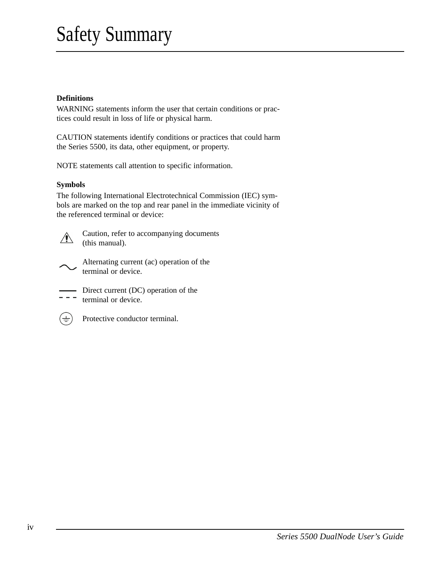# Safety Summary

#### **Definitions**

WARNING statements inform the user that certain conditions or practices could result in loss of life or physical harm.

CAUTION statements identify conditions or practices that could harm the Series 5500, its data, other equipment, or property.

NOTE statements call attention to specific information.

#### **Symbols**

The following International Electrotechnical Commission (IEC) symbols are marked on the top and rear panel in the immediate vicinity of the referenced terminal or device:



Caution, refer to accompanying documents (this manual).



Alternating current (ac) operation of the terminal or device.



Direct current (DC) operation of the

terminal or device.



Protective conductor terminal.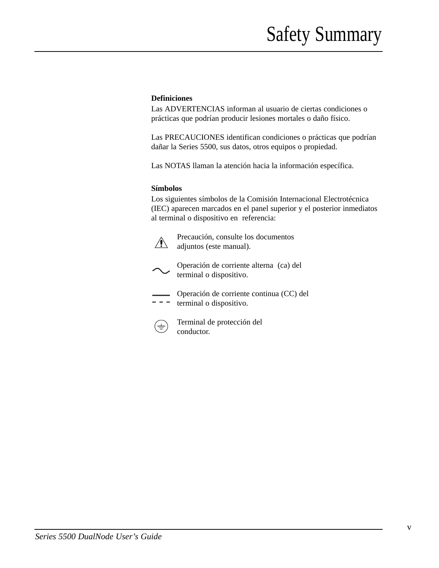#### **Definiciones**

Las ADVERTENCIAS informan al usuario de ciertas condiciones o prácticas que podrían producir lesiones mortales o daño físico.

Las PRECAUCIONES identifican condiciones o prácticas que podrían dañar la Series 5500, sus datos, otros equipos o propiedad.

Las NOTAS llaman la atención hacia la información específica.

#### **Símbolos**

Los siguientes símbolos de la Comisión Internacional Electrotécnica (IEC) aparecen marcados en el panel superior y el posterior inmediatos al terminal o dispositivo en referencia:

|             | Precaución, consulte los documentos |
|-------------|-------------------------------------|
| $\triangle$ | adjuntos (este manual).             |

Operación de corriente alterna (ca) del terminal o dispositivo.

- Operación de corriente continua (CC) del
- terminal o dispositivo.
- $(\pm)$

Terminal de protección del conductor.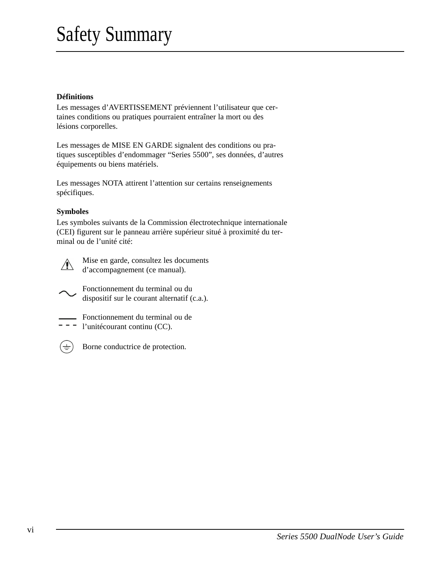#### **Définitions**

Les messages d'AVERTISSEMENT préviennent l'utilisateur que certaines conditions ou pratiques pourraient entraîner la mort ou des lésions corporelles.

Les messages de MISE EN GARDE signalent des conditions ou pratiques susceptibles d'endommager "Series 5500", ses données, d'autres équipements ou biens matériels.

Les messages NOTA attirent l'attention sur certains renseignements spécifiques.

#### **Symboles**

Les symboles suivants de la Commission électrotechnique internationale (CEI) figurent sur le panneau arrière supérieur situé à proximité du terminal ou de l'unité cité:



Mise en garde, consultez les documents d'accompagnement (ce manual).



Fonctionnement du terminal ou du dispositif sur le courant alternatif (c.a.).

Fonctionnement du terminal ou de

 $- - -$  l'unitécourant continu (CC).



Borne conductrice de protection.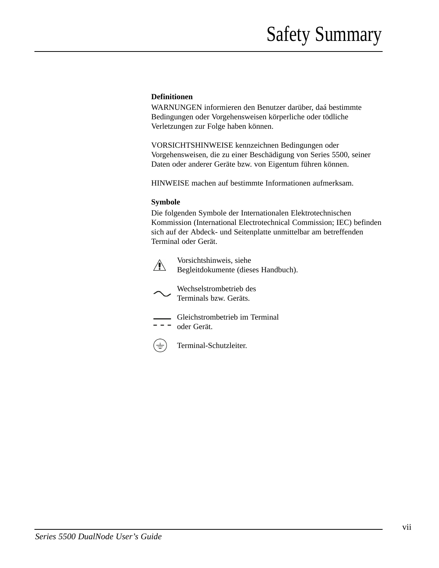#### **Definitionen**

WARNUNGEN informieren den Benutzer darüber, daá bestimmte Bedingungen oder Vorgehensweisen körperliche oder tödliche Verletzungen zur Folge haben können.

VORSICHTSHINWEISE kennzeichnen Bedingungen oder Vorgehensweisen, die zu einer Beschädigung von Series 5500, seiner Daten oder anderer Geräte bzw. von Eigentum führen können.

HINWEISE machen auf bestimmte Informationen aufmerksam.

#### **Symbole**

Die folgenden Symbole der Internationalen Elektrotechnischen Kommission (International Electrotechnical Commission; IEC) befinden sich auf der Abdeck- und Seitenplatte unmittelbar am betreffenden Terminal oder Gerät.





- Gleichstrombetrieb im Terminal
- <sup>--</sup> oder Gerät.



Terminal-Schutzleiter.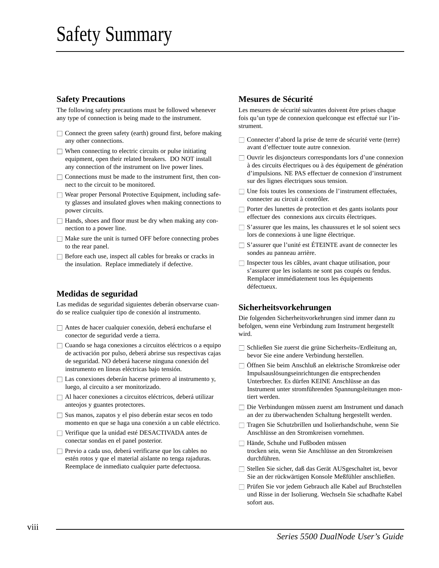#### **Safety Precautions**

The following safety precautions must be followed whenever any type of connection is being made to the instrument.

- $\Box$  Connect the green safety (earth) ground first, before making any other connections.
- $\Box$  When connecting to electric circuits or pulse initiating equipment, open their related breakers. DO NOT install any connection of the instrument on live power lines.
- $\Box$  Connections must be made to the instrument first, then connect to the circuit to be monitored.
- $\Box$  Wear proper Personal Protective Equipment, including safety glasses and insulated gloves when making connections to power circuits.
- $\Box$  Hands, shoes and floor must be dry when making any connection to a power line.
- $\Box$  Make sure the unit is turned OFF before connecting probes to the rear panel.
- $\Box$  Before each use, inspect all cables for breaks or cracks in the insulation. Replace immediately if defective.

#### **Medidas de seguridad**

Las medidas de seguridad siguientes deberán observarse cuando se realice cualquier tipo de conexión al instrumento.

- □ Antes de hacer cualquier conexión, deberá enchufarse el conector de seguridad verde a tierra.
- $\Box$  Cuando se haga conexiones a circuitos eléctricos o a equipo de activación por pulso, deberá abrirse sus respectivas cajas de seguridad. NO deberá hacerse ninguna conexión del instrumento en líneas eléctricas bajo tensión.
- $\Box$  Las conexiones deberán hacerse primero al instrumento y, luego, al circuito a ser monitorizado.
- $\Box$  Al hacer conexiones a circuitos eléctricos, deberá utilizar anteojos y guantes protectores.
- $\Box$  Sus manos, zapatos y el piso deberán estar secos en todo momento en que se haga una conexión a un cable eléctrico.
- $\Box$  Verifique que la unidad esté DESACTIVADA antes de conectar sondas en el panel posterior.
- $\Box$  Previo a cada uso, deberá verificarse que los cables no estén rotos y que el material aislante no tenga rajaduras. Reemplace de inmediato cualquier parte defectuosa.

#### **Mesures de Sécurité**

Les mesures de sécurité suivantes doivent être prises chaque fois qu'un type de connexion quelconque est effectué sur l'instrument.

- $\Box$  Connecter d'abord la prise de terre de sécurité verte (terre) avant d'effectuer toute autre connexion.
- $\Box$  Ouvrir les disjoncteurs correspondants lors d'une connexion à des circuits électriques ou à des équipement de génération d'impulsions. NE PAS effectuer de connexion d'instrument sur des lignes électriques sous tension.
- $\Box$  Une fois toutes les connexions de l'instrument effectuées, connecter au circuit à contrôler.
- □ Porter des lunettes de protection et des gants isolants pour effectuer des connexions aux circuits électriques.
- $\Box$  S'assurer que les mains, les chaussures et le sol soient secs lors de connexions à une ligne électrique.
- $\square$  S'assurer que l'unité est ÉTEINTE avant de connecter les sondes au panneau arrière.
- $\Box$  Inspecter tous les câbles, avant chaque utilisation, pour s'assurer que les isolants ne sont pas coupés ou fendus. Remplacer immédiatement tous les équipements défectueux.

#### **Sicherheitsvorkehrungen**

Die folgenden Sicherheitsvorkehrungen sind immer dann zu befolgen, wenn eine Verbindung zum Instrument hergestellt wird.

- Schließen Sie zuerst die grüne Sicherheits-/Erdleitung an, bevor Sie eine andere Verbindung herstellen.
- □ Öffnen Sie beim Anschluß an elektrische Stromkreise oder Impulsauslösungseinrichtungen die entsprechenden Unterbrecher. Es dürfen KEINE Anschlüsse an das Instrument unter stromführenden Spannungsleitungen montiert werden.
- $\Box$  Die Verbindungen müssen zuerst am Instrument und danach an der zu überwachenden Schaltung hergestellt werden.
- □ Tragen Sie Schutzbrillen und Isolierhandschuhe, wenn Sie Anschlüsse an den Stromkreisen vornehmen.
- □ Hände, Schuhe und Fußboden müssen trocken sein, wenn Sie Anschlüsse an den Stromkreisen durchführen.
- □ Stellen Sie sicher, daß das Gerät AUSgeschaltet ist, bevor Sie an der rückwärtigen Konsole Meßfühler anschließen.
- □ Prüfen Sie vor jedem Gebrauch alle Kabel auf Bruchstellen und Risse in der Isolierung. Wechseln Sie schadhafte Kabel sofort aus.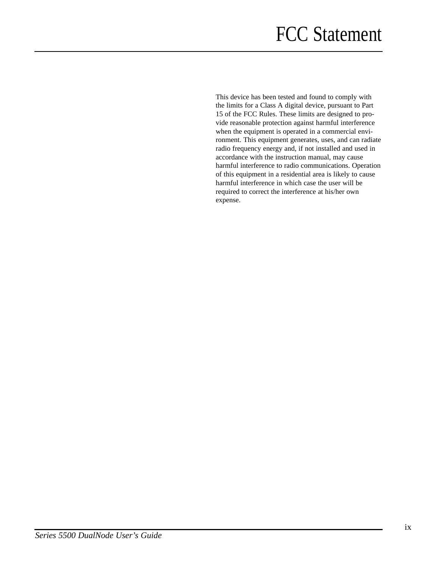This device has been tested and found to comply with the limits for a Class A digital device, pursuant to Part 15 of the FCC Rules. These limits are designed to provide reasonable protection against harmful interference when the equipment is operated in a commercial environment. This equipment generates, uses, and can radiate radio frequency energy and, if not installed and used in accordance with the instruction manual, may cause harmful interference to radio communications. Operation of this equipment in a residential area is likely to cause harmful interference in which case the user will be required to correct the interference at his/her own expense.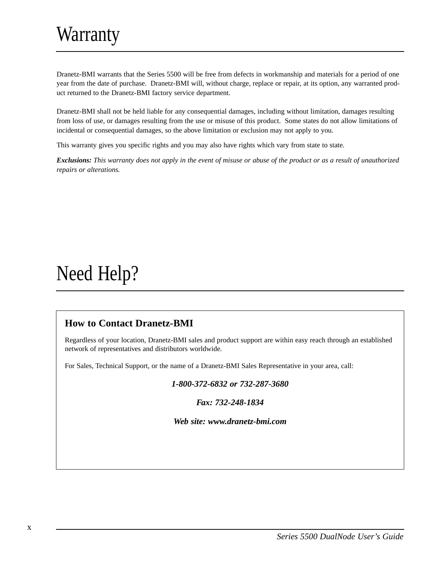Dranetz-BMI warrants that the Series 5500 will be free from defects in workmanship and materials for a period of one year from the date of purchase. Dranetz-BMI will, without charge, replace or repair, at its option, any warranted product returned to the Dranetz-BMI factory service department.

Dranetz-BMI shall not be held liable for any consequential damages, including without limitation, damages resulting from loss of use, or damages resulting from the use or misuse of this product. Some states do not allow limitations of incidental or consequential damages, so the above limitation or exclusion may not apply to you.

This warranty gives you specific rights and you may also have rights which vary from state to state.

*Exclusions: This warranty does not apply in the event of misuse or abuse of the product or as a result of unauthorized repairs or alterations.*

# Need Help?

# **How to Contact Dranetz-BMI**

Regardless of your location, Dranetz-BMI sales and product support are within easy reach through an established network of representatives and distributors worldwide.

For Sales, Technical Support, or the name of a Dranetz-BMI Sales Representative in your area, call:

*1-800-372-6832 or 732-287-3680*

*Fax: 732-248-1834*

*Web site: www.dranetz-bmi.com*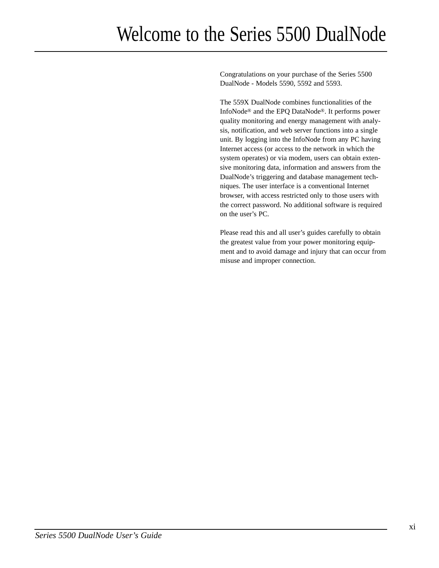Congratulations on your purchase of the Series 5500 DualNode - Models 5590, 5592 and 5593.

The 559X DualNode combines functionalities of the InfoNode® and the EPQ DataNode®. It performs power quality monitoring and energy management with analysis, notification, and web server functions into a single unit. By logging into the InfoNode from any PC having Internet access (or access to the network in which the system operates) or via modem, users can obtain extensive monitoring data, information and answers from the DualNode's triggering and database management techniques. The user interface is a conventional Internet browser, with access restricted only to those users with the correct password. No additional software is required on the user's PC.

Please read this and all user's guides carefully to obtain the greatest value from your power monitoring equipment and to avoid damage and injury that can occur from misuse and improper connection.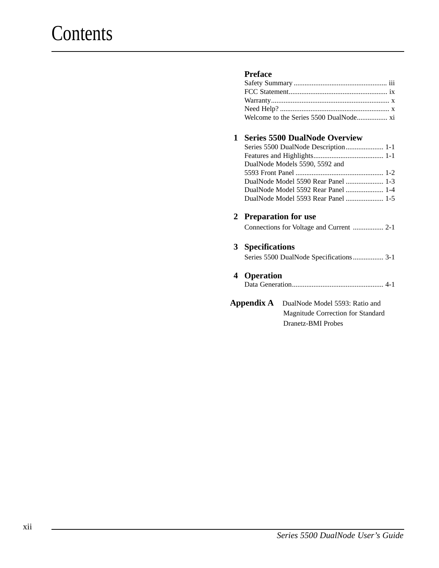#### **Preface**

## **1 Series 5500 DualNode Overview**

| Series 5500 DualNode Description 1-1 |  |
|--------------------------------------|--|
|                                      |  |
| DualNode Models 5590, 5592 and       |  |
|                                      |  |
| DualNode Model 5590 Rear Panel  1-3  |  |
|                                      |  |
|                                      |  |

#### **2 Preparation for use**

|--|--|--|--|--|--|

## **3 Specifications**

| Series 5500 DualNode Specifications 3-1 |  |
|-----------------------------------------|--|
|                                         |  |

## **4 Operation**

|--|--|

Appendix A DualNode Model 5593: Ratio and Magnitude Correction for Standard Dranetz-BMI Probes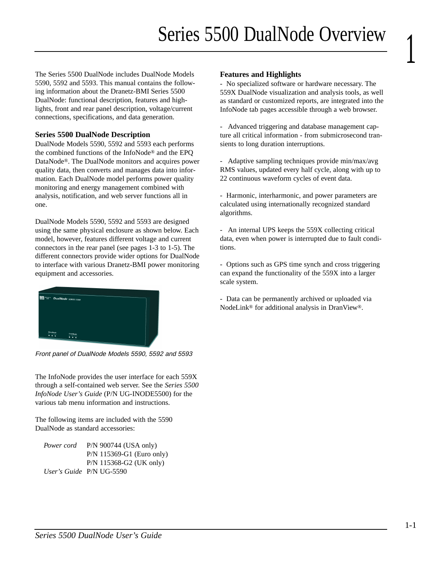The Series 5500 DualNode includes DualNode Models 5590, 5592 and 5593. This manual contains the following information about the Dranetz-BMI Series 5500 DualNode: functional description, features and highlights, front and rear panel description, voltage/current connections, specifications, and data generation.

#### **Series 5500 DualNode Description**

DualNode Models 5590, 5592 and 5593 each performs the combined functions of the InfoNode® and the EPQ DataNode®. The DualNode monitors and acquires power quality data, then converts and manages data into information. Each DualNode model performs power quality monitoring and energy management combined with analysis, notification, and web server functions all in one.

DualNode Models 5590, 5592 and 5593 are designed using the same physical enclosure as shown below. Each model, however, features different voltage and current connectors in the rear panel (see pages 1-3 to 1-5). The different connectors provide wider options for DualNode to interface with various Dranetz-BMI power monitoring equipment and accessories.



Front panel of DualNode Models 5590, 5592 and 5593

The InfoNode provides the user interface for each 559X through a self-contained web server. See the *Series 5500 InfoNode User's Guide* (P/N UG-INODE5500) for the various tab menu information and instructions.

The following items are included with the 5590 DualNode as standard accessories:

*Power cord* P/N 900744 (USA only) P/N 115369-G1 (Euro only) P/N 115368-G2 (UK only) *User's Guide* P/N UG-5590

#### **Features and Highlights**

- No specialized software or hardware necessary. The 559X DualNode visualization and analysis tools, as well as standard or customized reports, are integrated into the InfoNode tab pages accessible through a web browser.

- Advanced triggering and database management capture all critical information - from submicrosecond transients to long duration interruptions.

- Adaptive sampling techniques provide min/max/avg RMS values, updated every half cycle, along with up to 22 continuous waveform cycles of event data.

- Harmonic, interharmonic, and power parameters are calculated using internationally recognized standard algorithms.

- An internal UPS keeps the 559X collecting critical data, even when power is interrupted due to fault conditions.

- Options such as GPS time synch and cross triggering can expand the functionality of the 559X into a larger scale system.

- Data can be permanently archived or uploaded via NodeLink® for additional analysis in DranView®.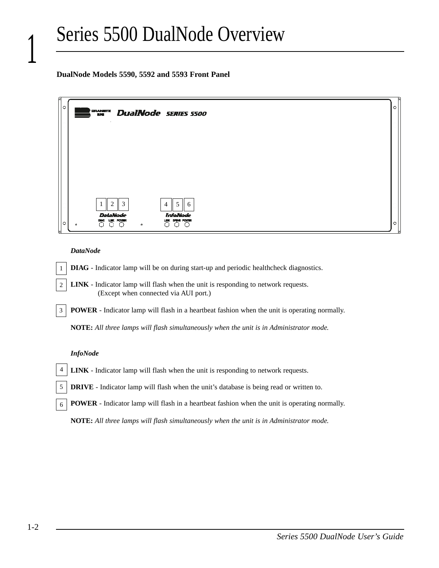# Series 5500 DualNode Overview

**DualNode Models 5590, 5592 and 5593 Front Panel**

| A<br>l Q.  | <b>ENAMER DualNode SERIES 5500</b><br>$\sim$ |                                                  | O      |
|------------|----------------------------------------------|--------------------------------------------------|--------|
|            |                                              |                                                  |        |
|            |                                              |                                                  |        |
|            | $\mathfrak{Z}$<br>$2 \parallel$<br>1         | 5 <sup>5</sup><br>6<br>$\overline{4}$            |        |
| l o l<br>ы | <b>DataNode</b><br>$\alpha$<br>$\alpha$      | <b>InfoNode</b><br>DRM FOWER<br><b>LIBK</b><br>∩ | o<br>৮ |

#### *DataNode*

2

**DIAG** - Indicator lamp will be on during start-up and periodic healthcheck diagnostics. 1

**LINK** - Indicator lamp will flash when the unit is responding to network requests. (Except when connected via AUI port.)

**POWER** - Indicator lamp will flash in a heartbeat fashion when the unit is operating normally. 3

**NOTE:** *All three lamps will flash simultaneously when the unit is in Administrator mode.*

#### *InfoNode*

- **LINK** Indicator lamp will flash when the unit is responding to network requests. 4
- **DRIVE** Indicator lamp will flash when the unit's database is being read or written to. 5
- **POWER** Indicator lamp will flash in a heartbeat fashion when the unit is operating normally. 6

**NOTE:** *All three lamps will flash simultaneously when the unit is in Administrator mode.*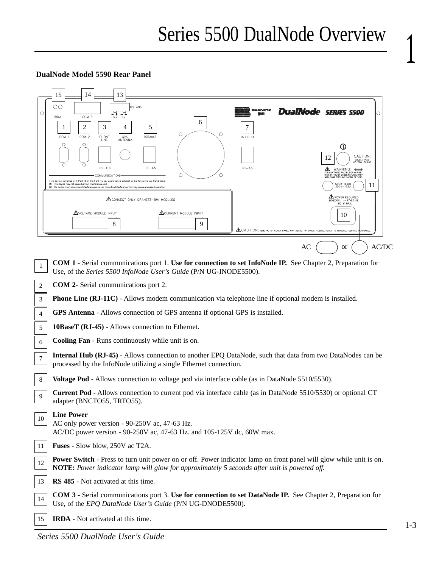#### **DualNode Model 5590 Rear Panel**

| 14<br>13<br>15                                                                                                                                                             |                                                                                                                                          |
|----------------------------------------------------------------------------------------------------------------------------------------------------------------------------|------------------------------------------------------------------------------------------------------------------------------------------|
| $\circ$<br>RS 485<br>$\circ$<br>$-+$<br>- +<br>COM <sub>3</sub><br><b>IRDA</b><br>Tx<br>Rx                                                                                 | <b>DRANETZ</b><br><b>DualNode</b> sERIES 5500<br>$\Omega$                                                                                |
| 6<br>5<br>3<br>2<br>4<br>$\circ$<br>O<br>COM 1<br>COM <sub>2</sub><br>PHONE<br>LINE<br>10BoseT<br>GPS<br>ANTENNA                                                           | 7<br>INT.HUB                                                                                                                             |
| ↷<br>$\circ$                                                                                                                                                               | ◑<br>CAUTION:<br>12<br>DOUBLE POLE<br>NEUTRAL FUSING                                                                                     |
| $RJ-11C$<br>$RJ - 45$<br>Ω<br>∩<br>- COMMUNICATION-<br>This device complies with Part 15 of the FCC Rules. Operation is subject to the following two Conditions:           | $RJ-45$<br>WARNING:<br>◮<br>FOR CONTINUED PROTECTION AGAINST<br>RISK OF FIRE OR SHOCK REPLACE ONLY<br>WITH SAME TYPE AND RATING OF FUSE. |
| (1) This device may not cause harmful interference, and<br>(2) this device must accept any interference received including interference that may cause undestred operation | SLOW BLOW<br>250V~T2A<br>11                                                                                                              |
| CONNECT ONLY DRANETZ-BMI MODULES                                                                                                                                           | <b>AL POWER REQUIRED</b><br>90-250V $\sim$ 47-63 HZ<br>60 W MAX.                                                                         |
| <b>AVOLTAGE MODULE INPUT</b><br><b>ACURRENT MODULE INPUT</b><br>8<br>9                                                                                                     | 10<br>ALCAUTION: REMOVAL OF COVER PANEL MAY RESULT IN SHOCK HAZARD, REFER TO QUALIFIED SERVICE PERSONNEL.                                |
|                                                                                                                                                                            | $\ensuremath{\mathbf{AC}}\xspace/\ensuremath{\mathbf{DC}}\xspace$<br>AC<br><sub>or</sub>                                                 |
| COM 1. Santal communications went 1. Her four connection to get Info No. 4. ID, See Chanter 2. December for                                                                |                                                                                                                                          |

| $\mathbf{1}$   | <b>COM 1</b> - Serial communications port 1. Use for connection to set InfoNode IP. See Chapter 2, Preparation for<br>Use, of the Series 5500 InfoNode User's Guide (P/N UG-INODE5500).                                         |
|----------------|---------------------------------------------------------------------------------------------------------------------------------------------------------------------------------------------------------------------------------|
| 2              | <b>COM 2-</b> Serial communications port 2.                                                                                                                                                                                     |
| 3              | <b>Phone Line (RJ-11C)</b> - Allows modem communication via telephone line if optional modem is installed.                                                                                                                      |
| $\overline{4}$ | <b>GPS Antenna</b> - Allows connection of GPS antenna if optional GPS is installed.                                                                                                                                             |
| 5              | <b>10BaseT</b> (RJ-45) - Allows connection to Ethernet.                                                                                                                                                                         |
| 6              | <b>Cooling Fan</b> - Runs continuously while unit is on.                                                                                                                                                                        |
| $\tau$         | Internal Hub (RJ-45) - Allows connection to another EPQ DataNode, such that data from two DataNodes can be<br>processed by the InfoNode utilizing a single Ethernet connection.                                                 |
| 8              | Voltage Pod - Allows connection to voltage pod via interface cable (as in DataNode 5510/5530).                                                                                                                                  |
| 9              | <b>Current Pod</b> - Allows connection to current pod via interface cable (as in DataNode 5510/5530) or optional CT<br>adapter (BNCTO55, TRTO55).                                                                               |
| 10             | <b>Line Power</b><br>AC only power version - 90-250V ac, 47-63 Hz.<br>AC/DC power version - 90-250V ac, 47-63 Hz. and 105-125V dc, 60W max.                                                                                     |
| 11             | <b>Fuses</b> - Slow blow, 250V ac T2A.                                                                                                                                                                                          |
| 12             | <b>Power Switch</b> - Press to turn unit power on or off. Power indicator lamp on front panel will glow while unit is on.<br><b>NOTE:</b> Power indicator lamp will glow for approximately 5 seconds after unit is powered off. |
| 13             | RS 485 - Not activated at this time.                                                                                                                                                                                            |
| 14             | COM 3 - Serial communications port 3. Use for connection to set DataNode IP. See Chapter 2, Preparation for<br>Use, of the EPQ DataNode User's Guide (P/N UG-DNODE5500).                                                        |
| 15             | <b>IRDA</b> - Not activated at this time.                                                                                                                                                                                       |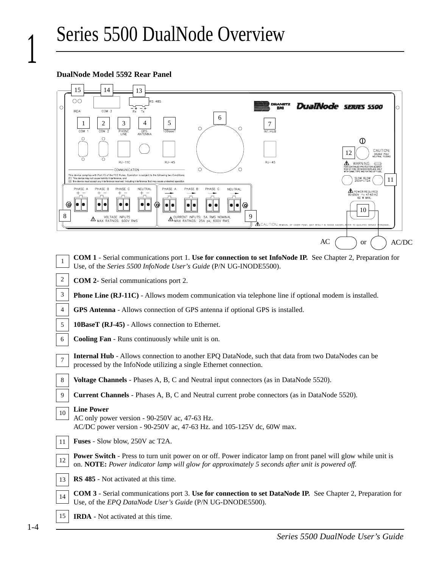#### **DualNode Model 5592 Rear Panel**



| -1              | <b>COM 1</b> - Serial communications port 1. Use for connection to set InfoNode IP. See Chapter 2, Preparation for<br>Use, of the Series 5500 InfoNode User's Guide (P/N UG-INODE5500).                                         |
|-----------------|---------------------------------------------------------------------------------------------------------------------------------------------------------------------------------------------------------------------------------|
| $\overline{2}$  | <b>COM 2-</b> Serial communications port 2.                                                                                                                                                                                     |
| 3               | <b>Phone Line (RJ-11C)</b> - Allows modem communication via telephone line if optional modem is installed.                                                                                                                      |
| $\overline{4}$  | GPS Antenna - Allows connection of GPS antenna if optional GPS is installed.                                                                                                                                                    |
| 5               | <b>10BaseT</b> (RJ-45) - Allows connection to Ethernet.                                                                                                                                                                         |
| 6               | Cooling Fan - Runs continuously while unit is on.                                                                                                                                                                               |
| $7\phantom{.0}$ | <b>Internal Hub</b> - Allows connection to another EPQ DataNode, such that data from two DataNodes can be<br>processed by the InfoNode utilizing a single Ethernet connection.                                                  |
| 8               | Voltage Channels - Phases A, B, C and Neutral input connectors (as in DataNode 5520).                                                                                                                                           |
| 9               | <b>Current Channels</b> - Phases A, B, C and Neutral current probe connectors (as in DataNode 5520).                                                                                                                            |
| 10              | <b>Line Power</b><br>AC only power version - 90-250V ac, 47-63 Hz.<br>AC/DC power version - 90-250V ac, 47-63 Hz. and 105-125V dc, 60W max.                                                                                     |
| 11              | <b>Fuses</b> - Slow blow, 250V ac T2A.                                                                                                                                                                                          |
| 12              | <b>Power Switch</b> - Press to turn unit power on or off. Power indicator lamp on front panel will glow while unit is<br>on. <b>NOTE:</b> Power indicator lamp will glow for approximately 5 seconds after unit is powered off. |
| 13              | <b>RS</b> 485 - Not activated at this time.                                                                                                                                                                                     |
| 14              | COM 3 - Serial communications port 3. Use for connection to set DataNode IP. See Chapter 2, Preparation for<br>Use, of the EPQ DataNode User's Guide (P/N UG-DNODE5500).                                                        |
| 15              | <b>IRDA</b> - Not activated at this time.                                                                                                                                                                                       |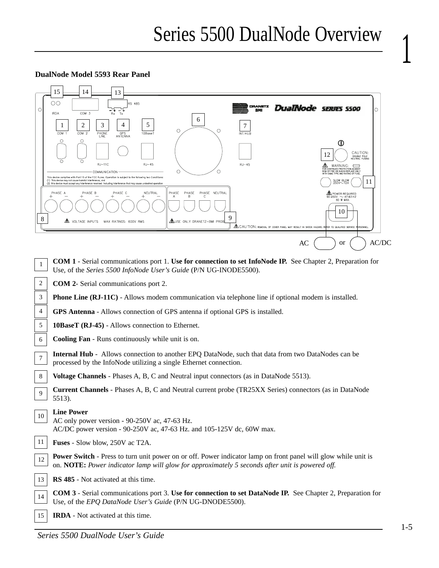#### **DualNode Model 5593 Rear Panel**

| 15<br>14<br>13                                                                                                                                                                                                 |                                                |                              |    |                                                                                                                                                         |         |
|----------------------------------------------------------------------------------------------------------------------------------------------------------------------------------------------------------------|------------------------------------------------|------------------------------|----|---------------------------------------------------------------------------------------------------------------------------------------------------------|---------|
| $\circ$<br>RS 485<br>$\circ$<br>COM 3<br><b>IRDA</b><br>Rx<br>Tx                                                                                                                                               |                                                | <b>DRANITZ</b><br><b>BMI</b> |    | <b>DualNode</b> sextes ssoo                                                                                                                             | $\circ$ |
| 5<br>3<br>2<br>4<br>COM <sub>2</sub><br>COM 1<br>PHONE<br>GPS<br>ANTENNA<br>10BaseT<br>LINE                                                                                                                    | 6<br>$\circ$<br>$\circ$                        | INT, HUB                     |    |                                                                                                                                                         |         |
| O<br>$\circ$                                                                                                                                                                                                   |                                                |                              |    | ◑<br>CAUTION:<br>12<br>DOUBLE POLE<br>NEUTRAL FUSING                                                                                                    |         |
| $RJ-11C$<br>$RJ - 45$<br>COMMUNICATION<br>This device complies with Part 15 of the FCC Rules. Operation is subject to the following two Conditions:<br>(1) This device may not cause harmful interference, and | О<br>∩                                         | $RJ - 45$                    |    | WARNING:<br>FOR CONTINUED PROTECTION AGAINST<br>RISK OF FIRE OR SHOCK REPLACE ONLY<br>WITH SAME TYPE AND RATING OF FUSE.<br>SLOW BLOW<br>250V~T2A<br>11 |         |
| (2) this device must accept any interference received including interference that may cause undesired operation<br>NEUTRAL<br>PHASE A<br>PHASE B<br>PHASE C                                                    | PHASE<br>PHASE<br>PHASE NEUTRAL<br>в<br>с<br>A |                              |    | <b>A</b> POWER REQUIRED<br>$90 - 250V \sim 47 - 63 HZ$<br>60 W MAX.                                                                                     |         |
| 8<br><b>A</b> VOLTAGE INPUTS<br>MAX RATINGS: 600V RMS                                                                                                                                                          | 9<br><b>ALUSE ONLY DRANETZ-BMI PROBL</b>       |                              |    | 10<br>ALCAUTION: REMOVAL OF COVER PANEL MAY RESULT IN SHOCK HAZARD. REFER TO QUALIFIED SERVICE PERSONNEL                                                |         |
|                                                                                                                                                                                                                |                                                |                              | AC | <sub>or</sub>                                                                                                                                           | AC/DC   |
| <b>COM 1</b> - Serial communications port 1. Use for connection to set InfoNode IP. See Chapter 2, Preparation for                                                                                             |                                                |                              |    |                                                                                                                                                         |         |

| 1              | <b>COM 1</b> - Serial communications port 1. Use for connection to set InfoNode IP. See Chapter 2, Preparation for<br>Use, of the Series 5500 InfoNode User's Guide (P/N UG-INODE5500).                                  |
|----------------|--------------------------------------------------------------------------------------------------------------------------------------------------------------------------------------------------------------------------|
| 2              | <b>COM 2-</b> Serial communications port 2.                                                                                                                                                                              |
| $\mathfrak{Z}$ | <b>Phone Line (RJ-11C)</b> - Allows modem communication via telephone line if optional modem is installed.                                                                                                               |
| $\overline{4}$ | <b>GPS Antenna</b> - Allows connection of GPS antenna if optional GPS is installed.                                                                                                                                      |
| 5              | <b>10BaseT</b> (RJ-45) - Allows connection to Ethernet.                                                                                                                                                                  |
| 6              | Cooling Fan - Runs continuously while unit is on.                                                                                                                                                                        |
| $\tau$         | <b>Internal Hub -</b> Allows connection to another EPQ DataNode, such that data from two DataNodes can be<br>processed by the InfoNode utilizing a single Ethernet connection.                                           |
| 8              | Voltage Channels - Phases A, B, C and Neutral input connectors (as in DataNode 5513).                                                                                                                                    |
| 9              | <b>Current Channels</b> - Phases A, B, C and Neutral current probe (TR25XX Series) connectors (as in DataNode<br>5513).                                                                                                  |
| 10             | <b>Line Power</b><br>AC only power version - 90-250V ac, 47-63 Hz.<br>AC/DC power version - 90-250V ac, 47-63 Hz. and 105-125V dc, 60W max.                                                                              |
| 11             | <b>Fuses</b> - Slow blow, 250V ac T2A.                                                                                                                                                                                   |
| 12             | <b>Power Switch</b> - Press to turn unit power on or off. Power indicator lamp on front panel will glow while unit is<br>on. NOTE: Power indicator lamp will glow for approximately 5 seconds after unit is powered off. |
| 13             | RS 485 - Not activated at this time.                                                                                                                                                                                     |
| 14             | COM 3 - Serial communications port 3. Use for connection to set DataNode IP. See Chapter 2, Preparation for<br>Use, of the EPQ DataNode User's Guide (P/N UG-DNODE5500).                                                 |
| 15             | <b>IRDA</b> - Not activated at this time.                                                                                                                                                                                |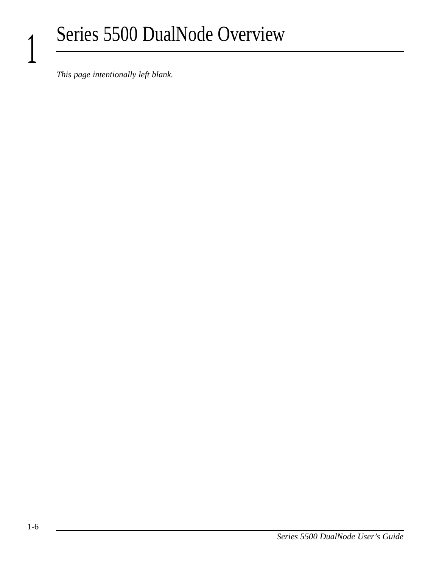# Series 5500 DualNode Overview

*This page intentionally left blank.*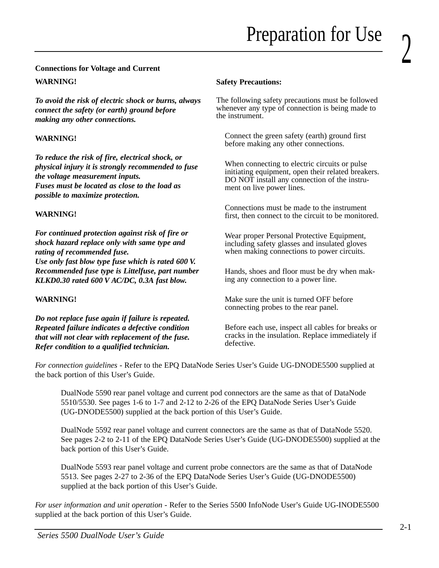### **Connections for Voltage and Current**

#### **WARNING!**

*To avoid the risk of electric shock or burns, always connect the safety (or earth) ground before making any other connections.*

## **WARNING!**

*To reduce the risk of fire, electrical shock, or physical injury it is strongly recommended to fuse the voltage measurement inputs. Fuses must be located as close to the load as possible to maximize protection.*

## **WARNING!**

*For continued protection against risk of fire or shock hazard replace only with same type and rating of recommended fuse. Use only fast blow type fuse which is rated 600 V. Recommended fuse type is Littelfuse, part number KLKD0.30 rated 600 V AC/DC, 0.3A fast blow.*

## **WARNING!**

*Do not replace fuse again if failure is repeated. Repeated failure indicates a defective condition that will not clear with replacement of the fuse. Refer condition to a qualified technician.*

#### **Safety Precautions:**

The following safety precautions must be followed whenever any type of connection is being made to the instrument.

Connect the green safety (earth) ground first before making any other connections.

When connecting to electric circuits or pulse initiating equipment, open their related breakers. DO NOT install any connection of the instrument on live power lines.

Connections must be made to the instrument first, then connect to the circuit to be monitored.

Wear proper Personal Protective Equipment, including safety glasses and insulated gloves when making connections to power circuits.

Hands, shoes and floor must be dry when making any connection to a power line.

Make sure the unit is turned OFF before connecting probes to the rear panel.

Before each use, inspect all cables for breaks or cracks in the insulation. Replace immediately if defective.

*For connection guidelines* - Refer to the EPQ DataNode Series User's Guide UG-DNODE5500 supplied at the back portion of this User's Guide.

DualNode 5590 rear panel voltage and current pod connectors are the same as that of DataNode 5510/5530. See pages 1-6 to 1-7 and 2-12 to 2-26 of the EPQ DataNode Series User's Guide (UG-DNODE5500) supplied at the back portion of this User's Guide.

DualNode 5592 rear panel voltage and current connectors are the same as that of DataNode 5520. See pages 2-2 to 2-11 of the EPQ DataNode Series User's Guide (UG-DNODE5500) supplied at the back portion of this User's Guide.

DualNode 5593 rear panel voltage and current probe connectors are the same as that of DataNode 5513. See pages 2-27 to 2-36 of the EPQ DataNode Series User's Guide (UG-DNODE5500) supplied at the back portion of this User's Guide.

*For user information and unit operation* - Refer to the Series 5500 InfoNode User's Guide UG-INODE5500 supplied at the back portion of this User's Guide.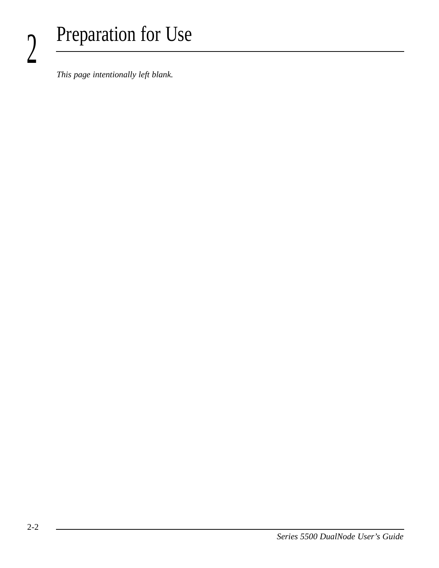*This page intentionally left blank.*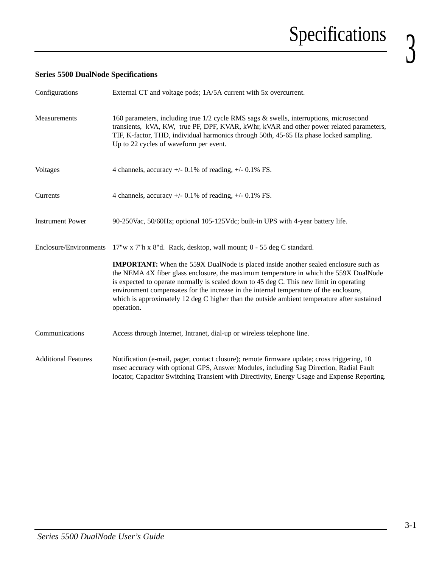#### **Series 5500 DualNode Specifications**

| Configurations             | External CT and voltage pods; 1A/5A current with 5x overcurrent.                                                                                                                                                                                                                                                                                                                                                                                                                      |  |  |  |  |
|----------------------------|---------------------------------------------------------------------------------------------------------------------------------------------------------------------------------------------------------------------------------------------------------------------------------------------------------------------------------------------------------------------------------------------------------------------------------------------------------------------------------------|--|--|--|--|
| Measurements               | 160 parameters, including true 1/2 cycle RMS sags & swells, interruptions, microsecond<br>transients, kVA, KW, true PF, DPF, KVAR, kWhr, kVAR and other power related parameters,<br>TIF, K-factor, THD, individual harmonics through 50th, 45-65 Hz phase locked sampling.<br>Up to 22 cycles of waveform per event.                                                                                                                                                                 |  |  |  |  |
| <b>Voltages</b>            | 4 channels, accuracy $+/- 0.1\%$ of reading, $+/- 0.1\%$ FS.                                                                                                                                                                                                                                                                                                                                                                                                                          |  |  |  |  |
| Currents                   | 4 channels, accuracy $+/- 0.1\%$ of reading, $+/- 0.1\%$ FS.                                                                                                                                                                                                                                                                                                                                                                                                                          |  |  |  |  |
| <b>Instrument Power</b>    | 90-250Vac, 50/60Hz; optional 105-125Vdc; built-in UPS with 4-year battery life.                                                                                                                                                                                                                                                                                                                                                                                                       |  |  |  |  |
| Enclosure/Environments     | 17"w x 7"h x 8"d. Rack, desktop, wall mount; 0 - 55 deg C standard.                                                                                                                                                                                                                                                                                                                                                                                                                   |  |  |  |  |
|                            | <b>IMPORTANT:</b> When the 559X DualNode is placed inside another sealed enclosure such as<br>the NEMA 4X fiber glass enclosure, the maximum temperature in which the 559X DualNode<br>is expected to operate normally is scaled down to 45 deg C. This new limit in operating<br>environment compensates for the increase in the internal temperature of the enclosure,<br>which is approximately 12 deg C higher than the outside ambient temperature after sustained<br>operation. |  |  |  |  |
| Communications             | Access through Internet, Intranet, dial-up or wireless telephone line.                                                                                                                                                                                                                                                                                                                                                                                                                |  |  |  |  |
| <b>Additional Features</b> | Notification (e-mail, pager, contact closure); remote firmware update; cross triggering, 10<br>msec accuracy with optional GPS, Answer Modules, including Sag Direction, Radial Fault<br>locator, Capacitor Switching Transient with Directivity, Energy Usage and Expense Reporting.                                                                                                                                                                                                 |  |  |  |  |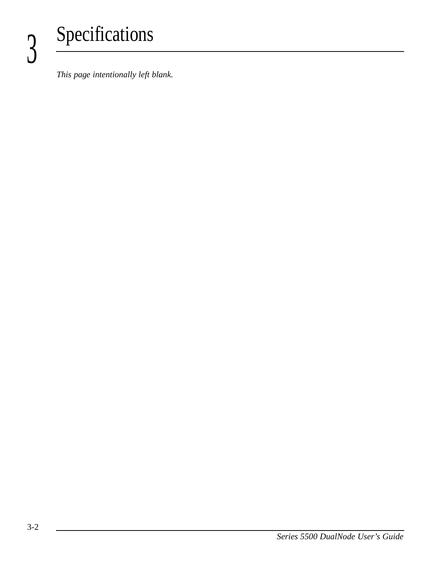# <sup>3</sup> Specifications

*This page intentionally left blank.*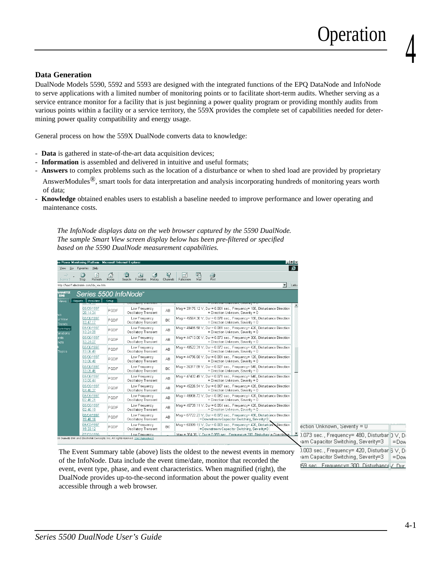4

#### **Data Generation**

DualNode Models 5590, 5592 and 5593 are designed with the integrated functions of the EPQ DataNode and InfoNode to serve applications with a limited number of monitoring points or to facilitate short-term audits. Whether serving as a service entrance monitor for a facility that is just beginning a power quality program or providing monthly audits from various points within a facility or a service territory, the 559X provides the complete set of capabilities needed for determining power quality compatibility and energy usage.

General process on how the 559X DualNode converts data to knowledge:

- **Data** is gathered in state-of-the-art data acquisition devices;
- Information is assembled and delivered in intuitive and useful formats;
- **Answers** to complex problems such as the location of a disturbance or when to shed load are provided by proprietary AnswerModules<sup>®</sup>, smart tools for data interpretation and analysis incorporating hundreds of monitoring years worth of data;
- **Knowledge** obtained enables users to establish a baseline needed to improve performance and lower operating and maintenance costs.

*The InfoNode displays data on the web browser captured by the 5590 DualNode. The sample Smart View screen display below has been pre-filtered or specified based on the 5590 DualNode measurement capabilities.*

| Go<br>View           | Favorites           | Help                                   |             |                                                   |                 |                                                                                                                |                                                                                                                |           |                                                                                                                          |  |  |
|----------------------|---------------------|----------------------------------------|-------------|---------------------------------------------------|-----------------|----------------------------------------------------------------------------------------------------------------|----------------------------------------------------------------------------------------------------------------|-----------|--------------------------------------------------------------------------------------------------------------------------|--|--|
| Enrward              | Ston                | 引<br><b>Refresh</b>                    | ſпì<br>Home | G<br>$*$<br>Search<br><b>Favorites</b><br>History | ত্ব<br>Channels | <b>Fullscreen</b>                                                                                              | 戰<br>Mail                                                                                                      | ∰<br>Pint |                                                                                                                          |  |  |
|                      |                     | http://host7.electrotek.com/idx vw.htm |             |                                                   |                 |                                                                                                                |                                                                                                                |           | $\vert \mathbf{v} \vert$                                                                                                 |  |  |
| <b>IANETZ</b>        |                     |                                        |             | Series 5500 InfoNode <sup>"</sup>                 |                 |                                                                                                                |                                                                                                                |           |                                                                                                                          |  |  |
| Views                | Reports   Real-time |                                        | Setup       |                                                   |                 |                                                                                                                |                                                                                                                |           |                                                                                                                          |  |  |
|                      |                     |                                        |             | <b>Obumatury Transierii</b>                       |                 |                                                                                                                |                                                                                                                |           | <b>LA CATOLI VIINTUWIT, OCYGITY</b>                                                                                      |  |  |
|                      |                     | 05/09/1997<br>20:14:34                 | PODIF       | Low Frequency<br><b>Oscillatory Transient</b>     | AB              |                                                                                                                |                                                                                                                |           | Mag = 39175.12 V, Dur = 0.081 sec., Frequency= 180, Disturbance Direction<br>= Direction Unknown, Severity = 0           |  |  |
| ur View<br>Trends    |                     | 05/06/1997<br>13:47:17                 | PODIF       | Low Frequency<br>Oscillatory Transient            | BC              |                                                                                                                |                                                                                                                |           | Mag = 45564.30 V. Dur = 0.078 sec., Frequency= 180. Disturbance Direction<br>= Direction Unknown, Severity = 0           |  |  |
| Summary<br>ariations |                     | 05/06/1997<br>13:24:09                 | PODIF       | Low Frequency<br>Oscillatory Transient            | AB              | Mag = 48485.58 V. Dur = 0.081 sec., Frequency= 420, Disturbance Direction<br>= Direction Unknown, Severity = 0 |                                                                                                                |           |                                                                                                                          |  |  |
|                      |                     | 05/06/1997<br>13:24:07                 | PODIF       | Low Frequency<br>Oscillatory Transient            | AB              |                                                                                                                | Mag = 44713.00 V. Dur = 0.073 sec., Frequency= 300, Disturbance Direction<br>= Direction Unknown, Severity = 0 |           |                                                                                                                          |  |  |
|                      |                     | 05/06/1997<br>13:06:49                 | PODIF       | Low Frequency<br>Oscillatory Transient            | AB              |                                                                                                                |                                                                                                                |           | Mag = 48522.31 V, Dur = 0.072 sec., Frequency= 420, Disturbance Direction<br>= Direction Unknown, Severity = 0           |  |  |
| Topics               |                     | 05/06/1997<br>13:06:48                 | PQDIF       | Low Frequency<br>Oscillatory Transient            | AB              | Mag = 44796.68 V, Dur = 0.081 sec., Frequency= 120, Disturbance Direction<br>= Direction Unknown, Severity = 0 |                                                                                                                |           |                                                                                                                          |  |  |
|                      |                     | 05/06/1997<br>13:05:46                 | PODIF       | Low Frequency<br>Oscillatory Transient            | BC.             | Mag = 36317.89 V, Dur = 0.027 sec., Frequency= 540, Disturbance Direction<br>= Direction Unknown, Severity = 0 |                                                                                                                |           |                                                                                                                          |  |  |
|                      |                     | 05/06/1997<br>13:05:44                 | PODIF       | Low Frequency<br>Oscillatory Transient            | AB              | Mag = 47432.49 V, Dur = 0.071 sec., Frequency= 540, Disturbance Direction<br>= Direction Unknown, Severity = 0 |                                                                                                                |           |                                                                                                                          |  |  |
|                      |                     | 05/05/1997<br>04:46:37                 | PODIF       | Low Frequency<br>Oscillatory Transient            | AB              | Mag = 45226.94 V, Dur = 0.067 sec., Frequency= 420, Disturbance Direction<br>= Direction Unknown, Severity = 0 |                                                                                                                |           |                                                                                                                          |  |  |
|                      |                     | 05/05/1997<br>02:46:21                 | PODIF       | Low Frequency<br>Oscillatory Transient            | AB              |                                                                                                                |                                                                                                                |           | Mag = 48906.72 V, Dur = 0.082 sec., Frequency= 420, Disturbance Direction<br>= Direction Unknown, Severity = 0           |  |  |
|                      |                     | 05/05/1997<br>02:46:19                 | PODIF       | Low Frequency<br>Oscillatory Transient            | AB              |                                                                                                                |                                                                                                                |           | Mag = 45739.11 V. Dur = 0.054 sec., Frequency= 420. Disturbance Direction<br>- Direction Unknown, Severity - 0           |  |  |
|                      |                     | 05/04/1997<br>19:48:18                 | PODIF       | Low Frequency<br>Oscillatory Transient            | AB              |                                                                                                                |                                                                                                                |           | Mag = 57722.23 V, Dur = 0.073 sec., Frequency= 480, Disturbance Direction<br>=Downstream Capacitor Switching, Severity=3 |  |  |
|                      |                     | 05/02/1997<br>19:33:12                 | PODIF       | Low Frequency<br>Oscillatory Transient            | BC              |                                                                                                                |                                                                                                                |           | Mag = 50399.13 V, Dur = 0.003 sec., Frequency= 420, Disturbance Direction<br>=Downstream Capacitor Switching, Severity=3 |  |  |
|                      |                     | 07/03/1998                             |             | Low Frequency                                     |                 |                                                                                                                |                                                                                                                |           | Mag = 384.36.1/ Dur = 0.059 sec. Erequency= 300. Disturbance Direction                                                   |  |  |

ection Unknown, Severity = U

0.073 sec., Frequency= 480, Disturbar DV, D am Capacitor Switching, Severity=3  $\vert$  = Dow 1.003 sec., Frequency= 420, Disturbar 6 V, D am Capacitor Switching, Severity=3 | =Dow 69 sec. Frequency= 300 Disturbance / Dur

The Event Summary table (above) lists the oldest to the newest events in memory of the InfoNode. Data include the event time/date, monitor that recorded the event, event type, phase, and event characteristics. When magnified (right), the DualNode provides up-to-the-second information about the power quality event accessible through a web browser.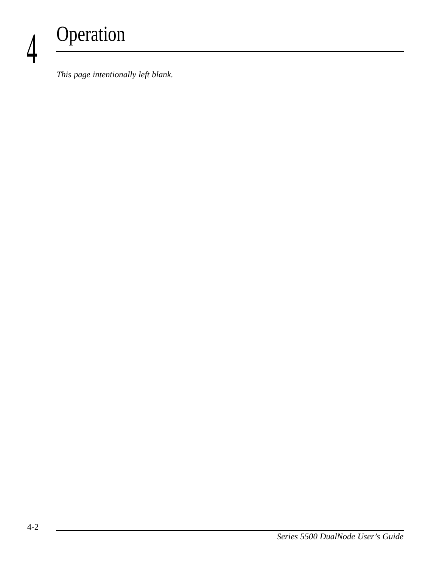# Operation

*This page intentionally left blank.*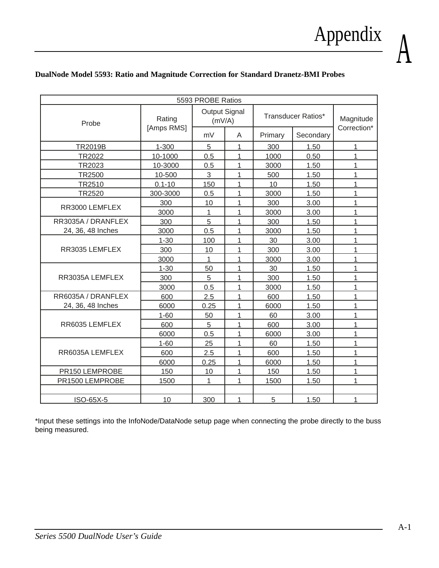# Appendix



## **DualNode Model 5593: Ratio and Magnitude Correction for Standard Dranetz-BMI Probes**

| 5593 PROBE Ratios  |            |                         |                |                    |           |             |  |  |
|--------------------|------------|-------------------------|----------------|--------------------|-----------|-------------|--|--|
| Probe              | Rating     | Output Signal<br>(mV/A) |                | Transducer Ratios* |           | Magnitude   |  |  |
|                    | [Amps RMS] | mV                      | A              | Primary            | Secondary | Correction* |  |  |
| <b>TR2019B</b>     | $1 - 300$  | 5                       | 1              | 300                | 1.50      | 1           |  |  |
| TR2022             | 10-1000    | 0.5                     | 1              | 1000               | 0.50      | 1           |  |  |
| TR2023             | 10-3000    | 0.5                     | 1              | 3000               | 1.50      | 1           |  |  |
| TR2500             | 10-500     | 3                       | 1              | 500                | 1.50      | 1           |  |  |
| TR2510             | $0.1 - 10$ | 150                     | 1              | 10                 | 1.50      | 1           |  |  |
| TR2520             | 300-3000   | 0.5                     | 1              | 3000               | 1.50      | 1           |  |  |
| RR3000 LEMFLEX     | 300        | 10                      | 1              | 300                | 3.00      | 1           |  |  |
|                    | 3000       | 1                       | 1              | 3000               | 3.00      | 1           |  |  |
| RR3035A / DRANFLEX | 300        | 5                       | 1              | 300                | 1.50      | 1           |  |  |
| 24, 36, 48 Inches  | 3000       | 0.5                     | 1              | 3000               | 1.50      | 1           |  |  |
|                    | $1 - 30$   | 100                     | 1              | 30                 | 3.00      | 1           |  |  |
| RR3035 LEMFLEX     | 300        | 10                      | 1              | 300                | 3.00      | 1           |  |  |
|                    | 3000       | 1                       | 1              | 3000               | 3.00      | 1           |  |  |
|                    | $1 - 30$   | 50                      | $\mathbf{1}$   | 30                 | 1.50      | 1           |  |  |
| RR3035A LEMFLEX    | 300        | 5                       | 1              | 300                | 1.50      | 1           |  |  |
|                    | 3000       | 0.5                     | 1              | 3000               | 1.50      | 1           |  |  |
| RR6035A / DRANFLEX | 600        | 2.5                     | $\overline{1}$ | 600                | 1.50      | 1           |  |  |
| 24, 36, 48 Inches  | 6000       | 0.25                    | $\mathbf{1}$   | 6000               | 1.50      | 1           |  |  |
|                    | $1 - 60$   | 50                      | $\mathbf{1}$   | 60                 | 3.00      | 1           |  |  |
| RR6035 LEMFLEX     | 600        | 5                       | 1              | 600                | 3.00      | 1           |  |  |
|                    | 6000       | 0.5                     | $\mathbf{1}$   | 6000               | 3.00      | 1           |  |  |
|                    | $1 - 60$   | 25                      | 1              | 60                 | 1.50      | 1           |  |  |
| RR6035A LEMFLEX    | 600        | 2.5                     | $\mathbf{1}$   | 600                | 1.50      | 1           |  |  |
|                    | 6000       | 0.25                    | 1              | 6000               | 1.50      | 1           |  |  |
| PR150 LEMPROBE     | 150        | 10                      | $\mathbf{1}$   | 150                | 1.50      | 1           |  |  |
| PR1500 LEMPROBE    | 1500       | 1                       | 1              | 1500               | 1.50      | 1           |  |  |
|                    |            |                         |                |                    |           |             |  |  |
| ISO-65X-5          | 10         | 300                     | 1              | 5                  | 1.50      | 1           |  |  |

\*Input these settings into the InfoNode/DataNode setup page when connecting the probe directly to the buss being measured.